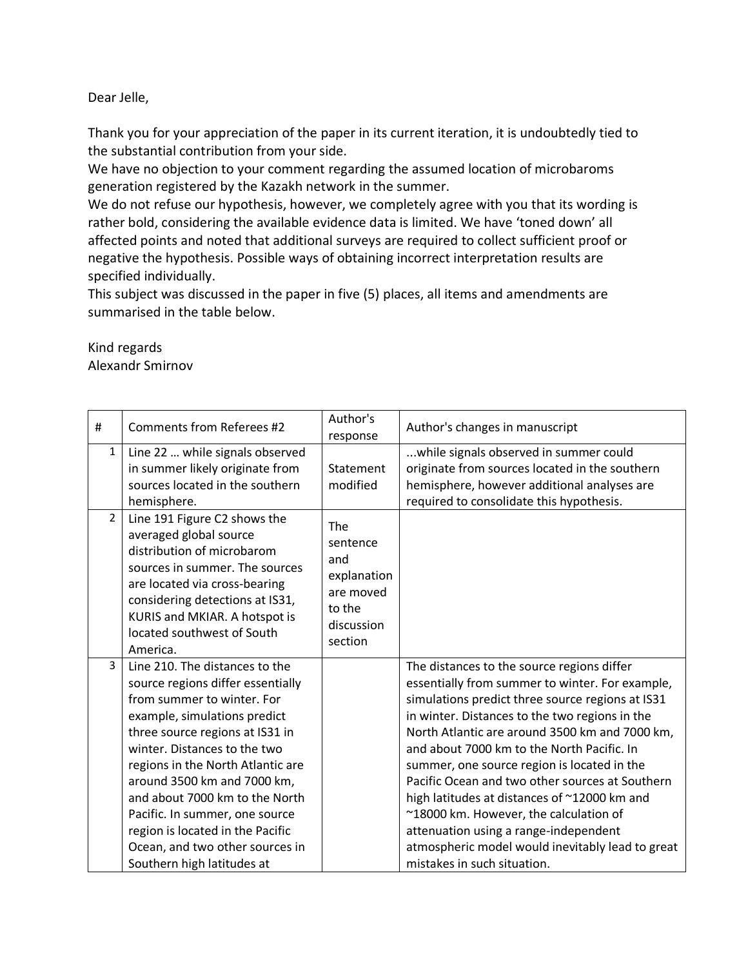Dear Jelle,

Thank you for your appreciation of the paper in its current iteration, it is undoubtedly tied to the substantial contribution from your side.

We have no objection to your comment regarding the assumed location of microbaroms generation registered by the Kazakh network in the summer.

We do not refuse our hypothesis, however, we completely agree with you that its wording is rather bold, considering the available evidence data is limited. We have 'toned down' all affected points and noted that additional surveys are required to collect sufficient proof or negative the hypothesis. Possible ways of obtaining incorrect interpretation results are specified individually.

This subject was discussed in the paper in five (5) places, all items and amendments are summarised in the table below.

Kind regards Alexandr Smirnov

| #              | Comments from Referees #2                                                                                                                                                                                                                                                                                                                                                                                                                         | Author's<br>response                                                                  | Author's changes in manuscript                                                                                                                                                                                                                                                                                                                                                                                                                                                                                                                                                                                              |
|----------------|---------------------------------------------------------------------------------------------------------------------------------------------------------------------------------------------------------------------------------------------------------------------------------------------------------------------------------------------------------------------------------------------------------------------------------------------------|---------------------------------------------------------------------------------------|-----------------------------------------------------------------------------------------------------------------------------------------------------------------------------------------------------------------------------------------------------------------------------------------------------------------------------------------------------------------------------------------------------------------------------------------------------------------------------------------------------------------------------------------------------------------------------------------------------------------------------|
| $\mathbf{1}$   | Line 22  while signals observed<br>in summer likely originate from<br>sources located in the southern<br>hemisphere.                                                                                                                                                                                                                                                                                                                              | Statement<br>modified                                                                 | while signals observed in summer could<br>originate from sources located in the southern<br>hemisphere, however additional analyses are<br>required to consolidate this hypothesis.                                                                                                                                                                                                                                                                                                                                                                                                                                         |
| $\overline{2}$ | Line 191 Figure C2 shows the<br>averaged global source<br>distribution of microbarom<br>sources in summer. The sources<br>are located via cross-bearing<br>considering detections at IS31,<br>KURIS and MKIAR. A hotspot is<br>located southwest of South<br>America.                                                                                                                                                                             | The<br>sentence<br>and<br>explanation<br>are moved<br>to the<br>discussion<br>section |                                                                                                                                                                                                                                                                                                                                                                                                                                                                                                                                                                                                                             |
| 3              | Line 210. The distances to the<br>source regions differ essentially<br>from summer to winter. For<br>example, simulations predict<br>three source regions at IS31 in<br>winter. Distances to the two<br>regions in the North Atlantic are<br>around 3500 km and 7000 km,<br>and about 7000 km to the North<br>Pacific. In summer, one source<br>region is located in the Pacific<br>Ocean, and two other sources in<br>Southern high latitudes at |                                                                                       | The distances to the source regions differ<br>essentially from summer to winter. For example,<br>simulations predict three source regions at IS31<br>in winter. Distances to the two regions in the<br>North Atlantic are around 3500 km and 7000 km,<br>and about 7000 km to the North Pacific. In<br>summer, one source region is located in the<br>Pacific Ocean and two other sources at Southern<br>high latitudes at distances of ~12000 km and<br>~18000 km. However, the calculation of<br>attenuation using a range-independent<br>atmospheric model would inevitably lead to great<br>mistakes in such situation. |